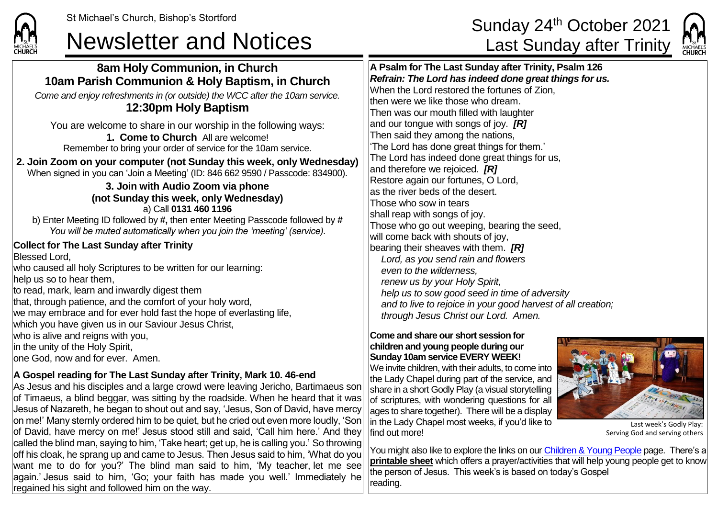## Newsletter and Notices **Last Sunday after Trinity**

## St Michael's Church, Bishop's Stortford **Sunday 24<sup>th</sup> October 2021**



## **CHURCH 8am Holy Communion, in Church A Psalm for The Last Sunday after Trinity, Psalm 126** *Refrain: The Lord has indeed done great things for us.* **10am Parish Communion & Holy Baptism, in Church** When the Lord restored the fortunes of Zion, *Come and enjoy refreshments in (or outside) the WCC after the 10am service.* lthen were we like those who dream. **12:30pm Holy Baptism** Then was our mouth filled with laughter and our tongue with songs of joy. *[R]* You are welcome to share in our worship in the following ways: Then said they among the nations, **1. Come to Church** All are welcome! 'The Lord has done great things for them.' Remember to bring your order of service for the 10am service. The Lord has indeed done great things for us, **2. Join Zoom on your computer (not Sunday this week, only Wednesday)** and therefore we rejoiced. *[R]* When signed in you can 'Join a Meeting' (ID: 846 662 9590 / Passcode: 834900). Restore again our fortunes, O Lord, **3. Join with Audio Zoom via phone** as the river beds of the desert. **(not Sunday this week, only Wednesday)** Those who sow in tears a) Call **0131 460 1196** shall reap with songs of joy. b) Enter Meeting ID followed by **#,** then enter Meeting Passcode followed by **#** Those who go out weeping, bearing the seed, *You will be muted automatically when you join the 'meeting' (service).* will come back with shouts of joy, **Collect for The Last Sunday after Trinity** bearing their sheaves with them. *[R]* Blessed Lord, *Lord, as you send rain and flowers* who caused all holy Scriptures to be written for our learning: *even to the wilderness,* help us so to hear them, *renew us by your Holy Spirit,* to read, mark, learn and inwardly digest them *help us to sow good seed in time of adversity* that, through patience, and the comfort of your holy word, *and to live to rejoice in your good harvest of all creation;* we may embrace and for ever hold fast the hope of everlasting life, *through Jesus Christ our Lord. Amen.* which you have given us in our Saviour Jesus Christ, who is alive and reigns with you, **Come and share our short session for**  in the unity of the Holy Spirit, **children and young people during our Sunday 10am service EVERY WEEK!** lone God, now and for ever. Amen. We invite children, with their adults, to come into **A Gospel reading for The Last Sunday after Trinity, Mark 10. 46-end** the Lady Chapel during part of the service, and

As Jesus and his disciples and a large crowd were leaving Jericho, Bartimaeus son of Timaeus, a blind beggar, was sitting by the roadside. When he heard that it was Jesus of Nazareth, he began to shout out and say, 'Jesus, Son of David, have mercy on me!' Many sternly ordered him to be quiet, but he cried out even more loudly, 'Son of David, have mercy on me!' Jesus stood still and said. 'Call him here.' And they called the blind man, saying to him, 'Take heart; get up, he is calling you.' So throwing off his cloak, he sprang up and came to Jesus. Then Jesus said to him, 'What do you want me to do for you?' The blind man said to him, 'My teacher, let me see again.' Jesus said to him, 'Go; your faith has made you well.' Immediately he regained his sight and followed him on the way.

share in a short Godly Play (a visual storytelling of scriptures, with wondering questions for all ages to share together). There will be a display in the Lady Chapel most weeks, if you'd like to find out more!



Last week's Godly Play: Serving God and serving others

You might also like to explore the links on our [Children & Young People](https://saintmichaelweb.org.uk/Groups/310496/Children_and_Young.aspx) page. There's a **[printable sheet](https://saintmichaelweb.org.uk/Groups/310496/Children_and_Young.aspx)** which offers a prayer/activities that will help young people get to know the person of Jesus. This week's is based on today's Gospel reading.